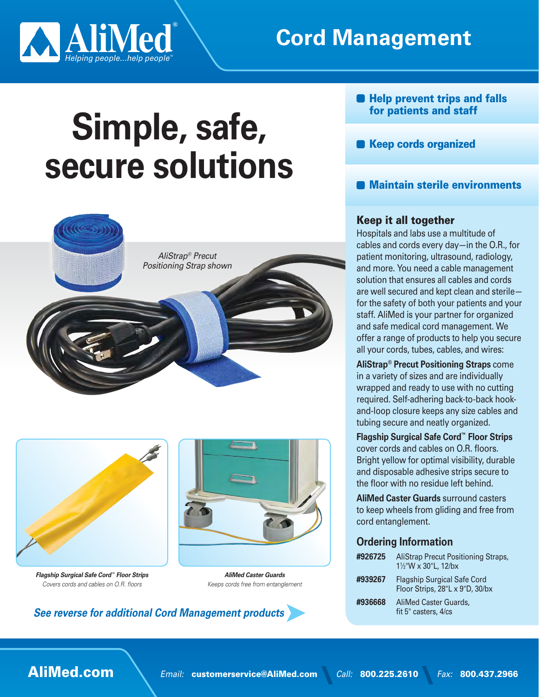

## **Cord Management**

# **Simple, safe,** secure solutions





**Flagship Surgical Safe Cord<sup>™</sup> Floor Strips** Covers cords and cables on O.R. floors



*Guards Caster AliMed* Keeps cords free from entanglement

**See reverse for additional Cord Management products** 

- **Help prevent trips and falls** for patients and staff
- Keep cords organized
- **B** Maintain sterile environments

### Keep it all together

Hospitals and labs use a multitude of cables and cords every day—in the  $O.R.,$  for patient monitoring, ultrasound, radiology, and more. You need a cable management solution that ensures all cables and cords are well secured and kept clean and sterilefor the safety of both your patients and your staff. AliMed is your partner for organized and safe medical cord management. We offer a range of products to help you secure all your cords, tubes, cables, and wires:

**AliStrap<sup>®</sup> Precut Positioning Straps** come in a variety of sizes and are individually wrapped and ready to use with no cutting and-loop closure keeps any size cables and required. Self-adhering back-to-back hooktubing secure and neatly organized.

**Flagship Surgical Safe Cord™ Floor Strips** cover cords and cables on O.R. floors. Bright yellow for optimal visibility, durable and disposable adhesive strips secure to the floor with no residue left behind.

**AliMed Caster Guards surround casters** to keep wheels from gliding and free from cord entanglement.

### **Ordering Information**

| #926725 | AliStrap Precut Positioning Straps,<br>11/2"W x 30"L, 12/bx           |
|---------|-----------------------------------------------------------------------|
| #939267 | <b>Flagship Surgical Safe Cord</b><br>Floor Strips, 28"L x 9"D, 30/bx |
| #936668 | <b>AliMed Caster Guards.</b><br>fit 5" casters, 4/cs                  |

**AliMed.com** *Email:* customerservice@AliMed.com *Call:* 800.225.2610 *Fax:* 800.437.2966